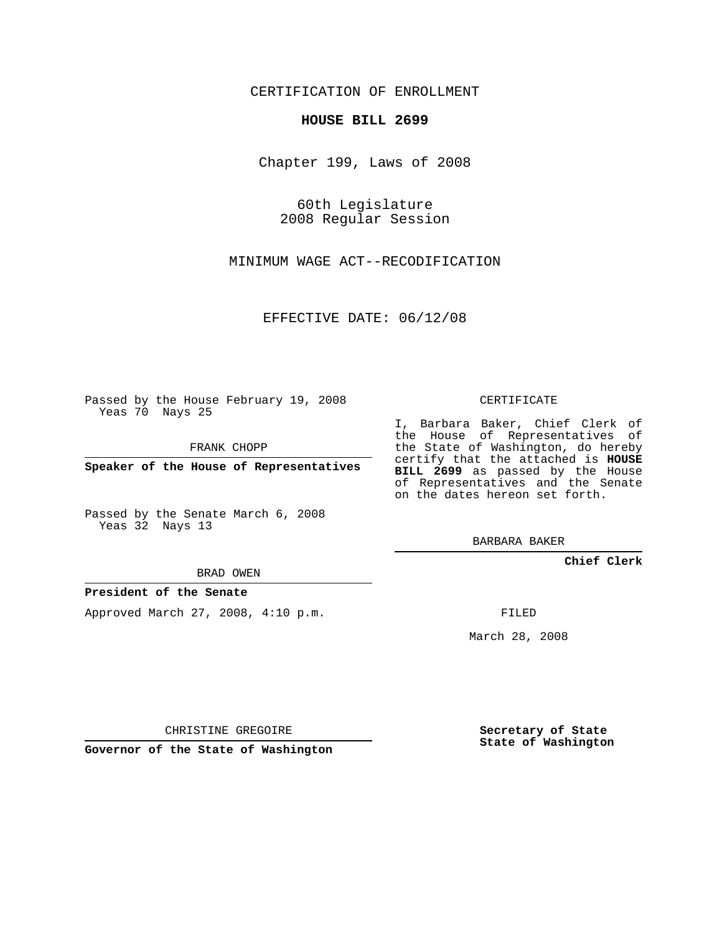CERTIFICATION OF ENROLLMENT

## **HOUSE BILL 2699**

Chapter 199, Laws of 2008

60th Legislature 2008 Regular Session

MINIMUM WAGE ACT--RECODIFICATION

EFFECTIVE DATE: 06/12/08

Passed by the House February 19, 2008 Yeas 70 Nays 25

FRANK CHOPP

**Speaker of the House of Representatives**

Passed by the Senate March 6, 2008 Yeas 32 Nays 13

BRAD OWEN

## **President of the Senate**

Approved March 27, 2008, 4:10 p.m.

CERTIFICATE

I, Barbara Baker, Chief Clerk of the House of Representatives of the State of Washington, do hereby certify that the attached is **HOUSE BILL 2699** as passed by the House of Representatives and the Senate on the dates hereon set forth.

BARBARA BAKER

**Chief Clerk**

FILED

March 28, 2008

CHRISTINE GREGOIRE

**Governor of the State of Washington**

**Secretary of State State of Washington**